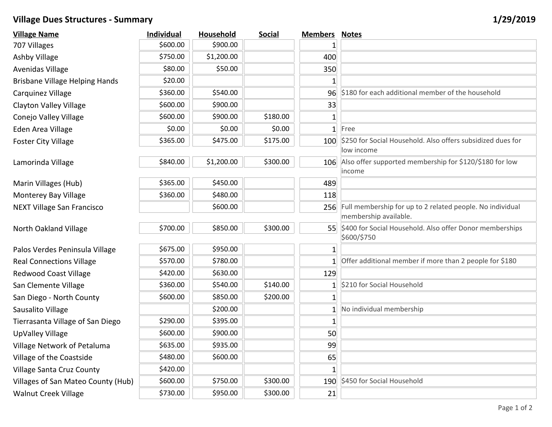## **Village Dues Structures - Summary 1/29/2019**

| <b>Village Name</b>                   | <b>Individual</b> | Household  | <b>Social</b> | <b>Members</b> | <b>Notes</b>                                                                           |
|---------------------------------------|-------------------|------------|---------------|----------------|----------------------------------------------------------------------------------------|
| 707 Villages                          | \$600.00          | \$900.00   |               |                |                                                                                        |
| <b>Ashby Village</b>                  | \$750.00          | \$1,200.00 |               | 400            |                                                                                        |
| Avenidas Village                      | \$80.00           | \$50.00    |               | 350            |                                                                                        |
| <b>Brisbane Village Helping Hands</b> | \$20.00           |            |               |                |                                                                                        |
| Carquinez Village                     | \$360.00          | \$540.00   |               | 96             | \$180 for each additional member of the household                                      |
| <b>Clayton Valley Village</b>         | \$600.00          | \$900.00   |               | 33             |                                                                                        |
| Conejo Valley Village                 | \$600.00          | \$900.00   | \$180.00      | 1              |                                                                                        |
| Eden Area Village                     | \$0.00            | \$0.00     | \$0.00        | 1              | Free                                                                                   |
| <b>Foster City Village</b>            | \$365.00          | \$475.00   | \$175.00      | 100            | \$250 for Social Household. Also offers subsidized dues for<br>low income              |
| Lamorinda Village                     | \$840.00          | \$1,200.00 | \$300.00      | 106            | Also offer supported membership for \$120/\$180 for low<br>income                      |
| Marin Villages (Hub)                  | \$365.00          | \$450.00   |               | 489            |                                                                                        |
| <b>Monterey Bay Village</b>           | \$360.00          | \$480.00   |               | 118            |                                                                                        |
| <b>NEXT Village San Francisco</b>     |                   | \$600.00   |               |                | 256 Full membership for up to 2 related people. No individual<br>membership available. |
| North Oakland Village                 | \$700.00          | \$850.00   | \$300.00      | 55             | \$400 for Social Household. Also offer Donor memberships<br>\$600/\$750                |
| Palos Verdes Peninsula Village        | \$675.00          | \$950.00   |               | $\mathbf{1}$   |                                                                                        |
| <b>Real Connections Village</b>       | \$570.00          | \$780.00   |               |                | Offer additional member if more than 2 people for \$180                                |
| <b>Redwood Coast Village</b>          | \$420.00          | \$630.00   |               | 129            |                                                                                        |
| San Clemente Village                  | \$360.00          | \$540.00   | \$140.00      |                | \$210 for Social Household                                                             |
| San Diego - North County              | \$600.00          | \$850.00   | \$200.00      |                |                                                                                        |
| Sausalito Village                     |                   | \$200.00   |               |                | No individual membership                                                               |
| Tierrasanta Village of San Diego      | \$290.00          | \$395.00   |               |                |                                                                                        |
| UpValley Village                      | \$600.00          | \$900.00   |               | 50             |                                                                                        |
| Village Network of Petaluma           | \$635.00          | \$935.00   |               | 99             |                                                                                        |
| Village of the Coastside              | \$480.00          | \$600.00   |               | 65             |                                                                                        |
| <b>Village Santa Cruz County</b>      | \$420.00          |            |               |                |                                                                                        |
| Villages of San Mateo County (Hub)    | \$600.00          | \$750.00   | \$300.00      | 190            | \$450 for Social Household                                                             |
| <b>Walnut Creek Village</b>           | \$730.00          | \$950.00   | \$300.00      | 21             |                                                                                        |